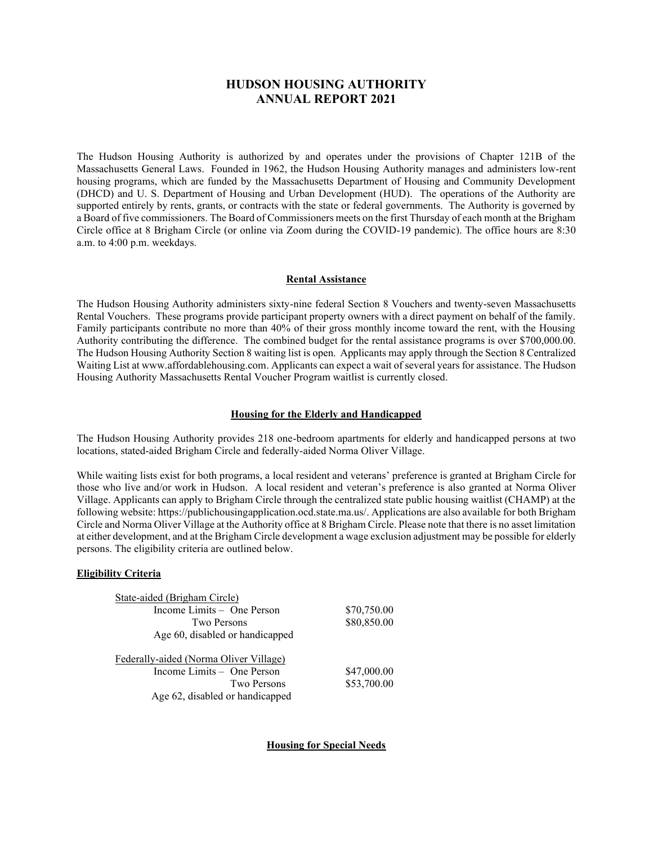# **HUDSON HOUSING AUTHORITY ANNUAL REPORT 2021**

The Hudson Housing Authority is authorized by and operates under the provisions of Chapter 121B of the Massachusetts General Laws. Founded in 1962, the Hudson Housing Authority manages and administers low-rent housing programs, which are funded by the Massachusetts Department of Housing and Community Development (DHCD) and U. S. Department of Housing and Urban Development (HUD). The operations of the Authority are supported entirely by rents, grants, or contracts with the state or federal governments. The Authority is governed by a Board of five commissioners. The Board of Commissioners meets on the first Thursday of each month at the Brigham Circle office at 8 Brigham Circle (or online via Zoom during the COVID-19 pandemic). The office hours are 8:30 a.m. to 4:00 p.m. weekdays.

#### **Rental Assistance**

The Hudson Housing Authority administers sixty-nine federal Section 8 Vouchers and twenty-seven Massachusetts Rental Vouchers. These programs provide participant property owners with a direct payment on behalf of the family. Family participants contribute no more than 40% of their gross monthly income toward the rent, with the Housing Authority contributing the difference. The combined budget for the rental assistance programs is over \$700,000.00. The Hudson Housing Authority Section 8 waiting list is open. Applicants may apply through the Section 8 Centralized Waiting List at www.affordablehousing.com. Applicants can expect a wait of several years for assistance. The Hudson Housing Authority Massachusetts Rental Voucher Program waitlist is currently closed.

### **Housing for the Elderly and Handicapped**

The Hudson Housing Authority provides 218 one-bedroom apartments for elderly and handicapped persons at two locations, stated-aided Brigham Circle and federally-aided Norma Oliver Village.

While waiting lists exist for both programs, a local resident and veterans' preference is granted at Brigham Circle for those who live and/or work in Hudson. A local resident and veteran's preference is also granted at Norma Oliver Village. Applicants can apply to Brigham Circle through the centralized state public housing waitlist (CHAMP) at the following website: https://publichousingapplication.ocd.state.ma.us/. Applications are also available for both Brigham Circle and Norma Oliver Village at the Authority office at 8 Brigham Circle. Please note that there is no asset limitation at either development, and at the Brigham Circle development a wage exclusion adjustment may be possible for elderly persons. The eligibility criteria are outlined below.

## **Eligibility Criteria**

| State-aided (Brigham Circle)           |             |  |
|----------------------------------------|-------------|--|
| Income Limits – One Person             | \$70,750.00 |  |
| Two Persons                            | \$80,850.00 |  |
| Age 60, disabled or handicapped        |             |  |
| Federally-aided (Norma Oliver Village) |             |  |
| Income Limits – One Person             | \$47,000.00 |  |
|                                        |             |  |
| Two Persons                            | \$53,700.00 |  |

**Housing for Special Needs**